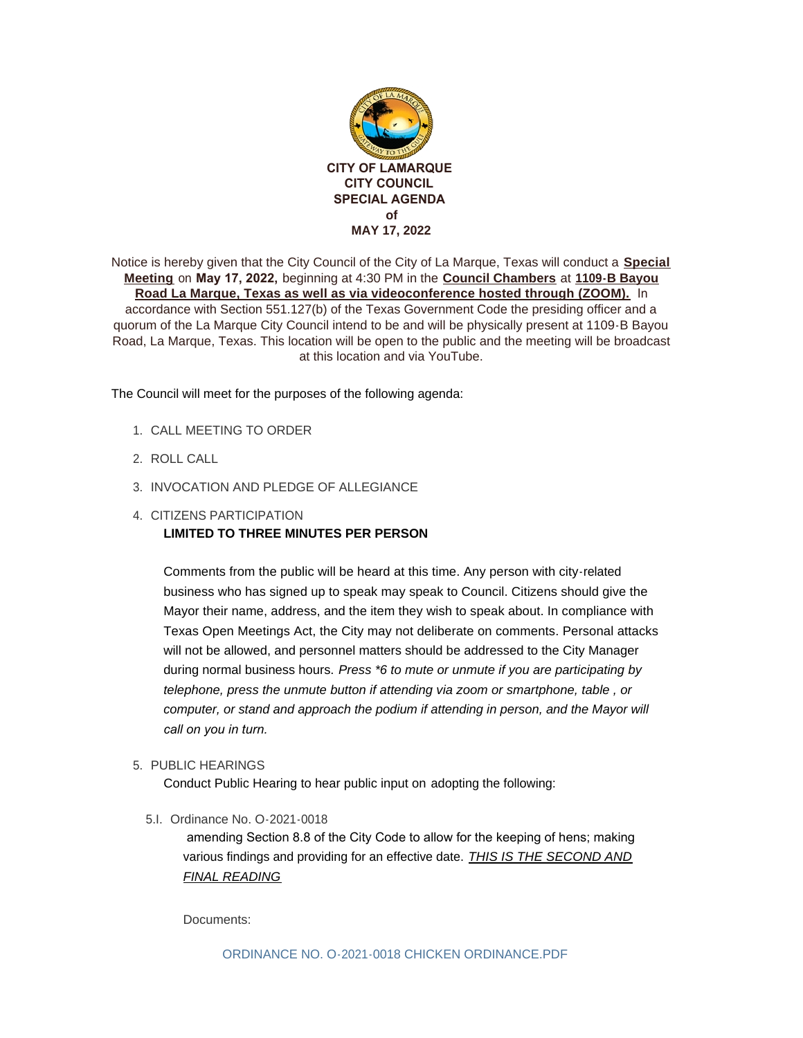

Notice is hereby given that the City Council of the City of La Marque, Texas will conduct a **Special Meeting** on **May 17, 2022,** beginning at 4:30 PM in the **Council Chambers** at **1109-B Bayou Road La Marque, Texas as well as via videoconference hosted through (ZOOM).** In accordance with Section 551.127(b) of the Texas Government Code the presiding officer and a quorum of the La Marque City Council intend to be and will be physically present at 1109-B Bayou Road, La Marque, Texas. This location will be open to the public and the meeting will be broadcast at this location and via YouTube.

The Council will meet for the purposes of the following agenda:

- 1. CALL MEETING TO ORDER
- 2. ROLL CALL
- 3. INVOCATION AND PLEDGE OF ALLEGIANCE
- 4. CITIZENS PARTICIPATION

### **LIMITED TO THREE MINUTES PER PERSON**

Comments from the public will be heard at this time. Any person with city-related business who has signed up to speak may speak to Council. Citizens should give the Mayor their name, address, and the item they wish to speak about. In compliance with Texas Open Meetings Act, the City may not deliberate on comments. Personal attacks will not be allowed, and personnel matters should be addressed to the City Manager during normal business hours. *Press \*6 to mute or unmute if you are participating by telephone, press the unmute button if attending via zoom or smartphone, table , or computer, or stand and approach the podium if attending in person, and the Mayor will call on you in turn.* 

5. PUBLIC HEARINGS

Conduct Public Hearing to hear public input on adopting the following:

5.I. Ordinance No. O-2021-0018

 amending Section 8.8 of the City Code to allow for the keeping of hens; making various findings and providing for an effective date. *THIS IS THE SECOND AND FINAL READING*

Documents: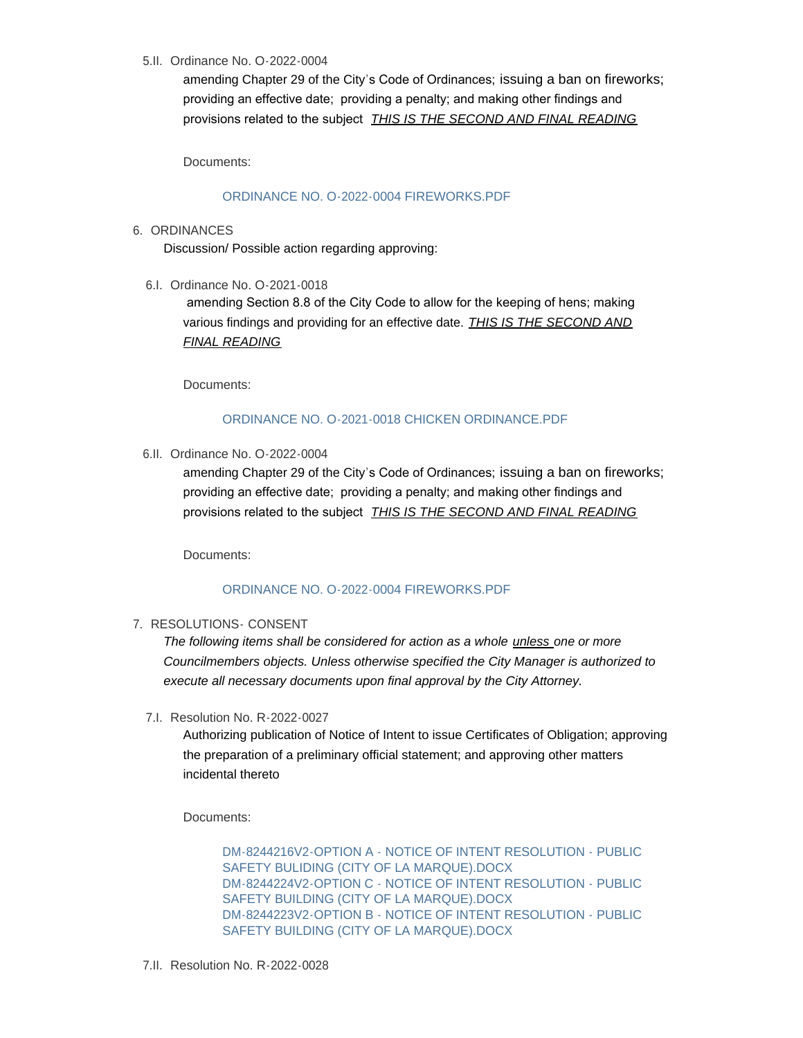5.II. Ordinance No. O-2022-0004

amending Chapter 29 of the City's Code of Ordinances; issuing a ban on fireworks; providing an effective date; providing a penalty; and making other findings and provisions related to the subject *THIS IS THE SECOND AND FINAL READING*

Documents:

#### [ORDINANCE NO. O-2022-0004 FIREWORKS.PDF](http://www.ci.la-marque.tx.us/AgendaCenter/ViewFile/Item/96?fileID=7417)

6. ORDINANCES

Discussion/ Possible action regarding approving:

6.I. Ordinance No. O-2021-0018

 amending Section 8.8 of the City Code to allow for the keeping of hens; making various findings and providing for an effective date. *THIS IS THE SECOND AND FINAL READING*

Documents:

# [ORDINANCE NO. O-2021-0018 CHICKEN ORDINANCE.PDF](http://www.ci.la-marque.tx.us/AgendaCenter/ViewFile/Item/94?fileID=7415)

6.II. Ordinance No. O-2022-0004

amending Chapter 29 of the City's Code of Ordinances; issuing a ban on fireworks; providing an effective date; providing a penalty; and making other findings and provisions related to the subject *THIS IS THE SECOND AND FINAL READING*

Documents:

### [ORDINANCE NO. O-2022-0004 FIREWORKS.PDF](http://www.ci.la-marque.tx.us/AgendaCenter/ViewFile/Item/95?fileID=7416)

### 7. RESOLUTIONS CONSENT

*The following items shall be considered for action as a whole unless one or more Councilmembers objects. Unless otherwise specified the City Manager is authorized to execute all necessary documents upon final approval by the City Attorney.*

7.I. Resolution No. R-2022-0027

Authorizing publication of Notice of Intent to issue Certificates of Obligation; approving the preparation of a preliminary official statement; and approving other matters incidental thereto

Documents:

[DM-8244216V2-OPTION A - NOTICE OF INTENT RESOLUTION - PUBLIC](http://www.ci.la-marque.tx.us/AgendaCenter/ViewFile/Item/100?fileID=7425)  SAFETY BULIDING (CITY OF LA MARQUE).DOCX [DM-8244224V2-OPTION C - NOTICE OF INTENT RESOLUTION - PUBLIC](http://www.ci.la-marque.tx.us/AgendaCenter/ViewFile/Item/100?fileID=7426)  SAFETY BUILDING (CITY OF LA MARQUE).DOCX [DM-8244223V2-OPTION B - NOTICE OF INTENT RESOLUTION - PUBLIC](http://www.ci.la-marque.tx.us/AgendaCenter/ViewFile/Item/100?fileID=7427)  SAFETY BUILDING (CITY OF LA MARQUE).DOCX

7.II. Resolution No. R-2022-0028